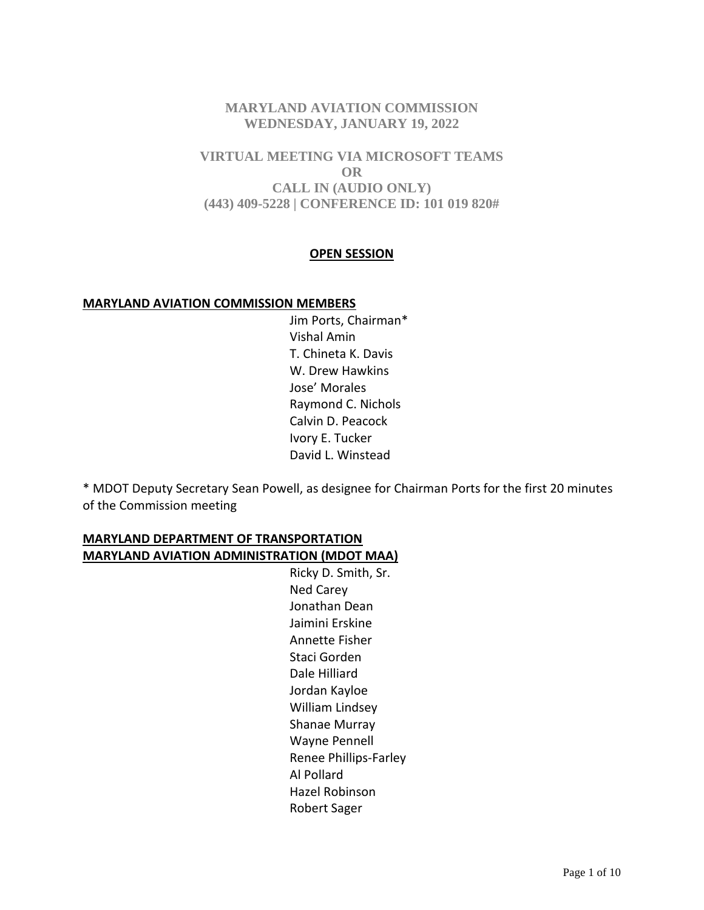# **MARYLAND AVIATION COMMISSION WEDNESDAY, JANUARY 19, 2022**

**VIRTUAL MEETING VIA MICROSOFT TEAMS OR CALL IN (AUDIO ONLY) (443) 409-5228 | CONFERENCE ID: 101 019 820#**

#### **OPEN SESSION**

#### **MARYLAND AVIATION COMMISSION MEMBERS**

Jim Ports, Chairman\* Vishal Amin T. Chineta K. Davis W. Drew Hawkins Jose' Morales Raymond C. Nichols Calvin D. Peacock Ivory E. Tucker David L. Winstead

\* MDOT Deputy Secretary Sean Powell, as designee for Chairman Ports for the first 20 minutes of the Commission meeting

# **MARYLAND DEPARTMENT OF TRANSPORTATION MARYLAND AVIATION ADMINISTRATION (MDOT MAA)**

Ricky D. Smith, Sr. Ned Carey Jonathan Dean Jaimini Erskine Annette Fisher Staci Gorden Dale Hilliard Jordan Kayloe William Lindsey Shanae Murray Wayne Pennell Renee Phillips-Farley Al Pollard Hazel Robinson Robert Sager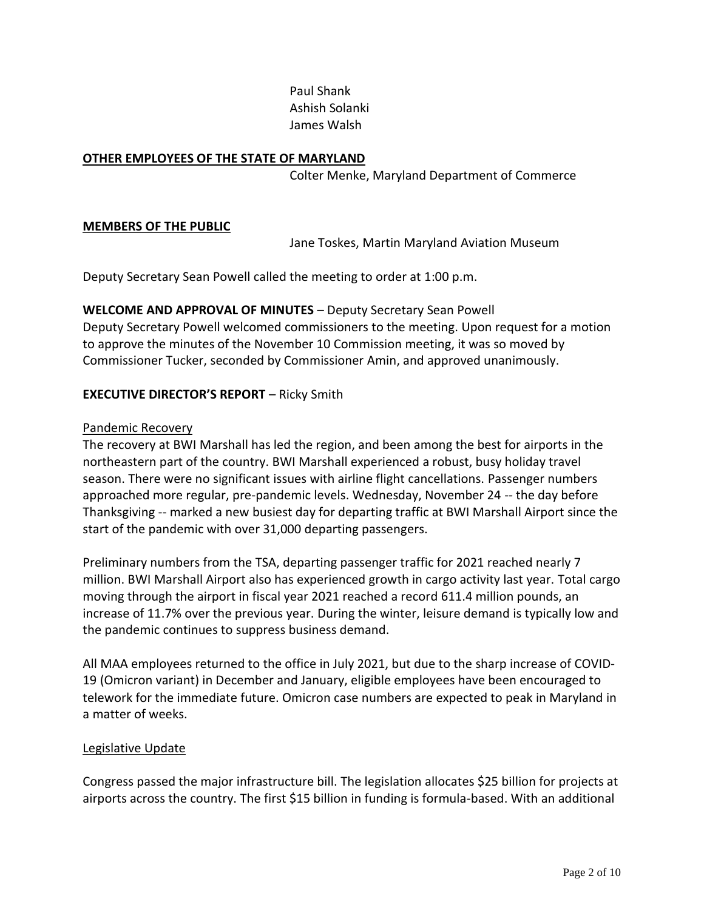Paul Shank Ashish Solanki James Walsh

#### **OTHER EMPLOYEES OF THE STATE OF MARYLAND**

Colter Menke, Maryland Department of Commerce

#### **MEMBERS OF THE PUBLIC**

Jane Toskes, Martin Maryland Aviation Museum

Deputy Secretary Sean Powell called the meeting to order at 1:00 p.m.

**WELCOME AND APPROVAL OF MINUTES** – Deputy Secretary Sean Powell Deputy Secretary Powell welcomed commissioners to the meeting. Upon request for a motion to approve the minutes of the November 10 Commission meeting, it was so moved by Commissioner Tucker, seconded by Commissioner Amin, and approved unanimously.

## **EXECUTIVE DIRECTOR'S REPORT** – Ricky Smith

#### Pandemic Recovery

The recovery at BWI Marshall has led the region, and been among the best for airports in the northeastern part of the country. BWI Marshall experienced a robust, busy holiday travel season. There were no significant issues with airline flight cancellations. Passenger numbers approached more regular, pre-pandemic levels. Wednesday, November 24 -- the day before Thanksgiving -- marked a new busiest day for departing traffic at BWI Marshall Airport since the start of the pandemic with over 31,000 departing passengers.

Preliminary numbers from the TSA, departing passenger traffic for 2021 reached nearly 7 million. BWI Marshall Airport also has experienced growth in cargo activity last year. Total cargo moving through the airport in fiscal year 2021 reached a record 611.4 million pounds, an increase of 11.7% over the previous year. During the winter, leisure demand is typically low and the pandemic continues to suppress business demand.

All MAA employees returned to the office in July 2021, but due to the sharp increase of COVID-19 (Omicron variant) in December and January, eligible employees have been encouraged to telework for the immediate future. Omicron case numbers are expected to peak in Maryland in a matter of weeks.

#### Legislative Update

Congress passed the major infrastructure bill. The legislation allocates \$25 billion for projects at airports across the country. The first \$15 billion in funding is formula-based. With an additional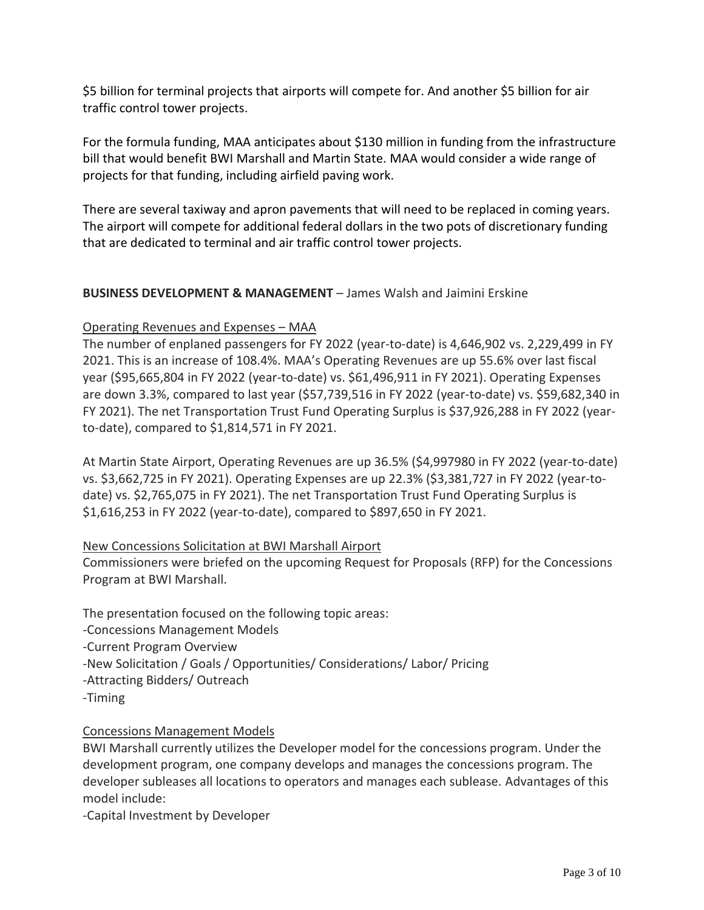\$5 billion for terminal projects that airports will compete for. And another \$5 billion for air traffic control tower projects.

For the formula funding, MAA anticipates about \$130 million in funding from the infrastructure bill that would benefit BWI Marshall and Martin State. MAA would consider a wide range of projects for that funding, including airfield paving work.

There are several taxiway and apron pavements that will need to be replaced in coming years. The airport will compete for additional federal dollars in the two pots of discretionary funding that are dedicated to terminal and air traffic control tower projects.

# **BUSINESS DEVELOPMENT & MANAGEMENT** – James Walsh and Jaimini Erskine

## Operating Revenues and Expenses – MAA

The number of enplaned passengers for FY 2022 (year-to-date) is 4,646,902 vs. 2,229,499 in FY 2021. This is an increase of 108.4%. MAA's Operating Revenues are up 55.6% over last fiscal year (\$95,665,804 in FY 2022 (year-to-date) vs. \$61,496,911 in FY 2021). Operating Expenses are down 3.3%, compared to last year (\$57,739,516 in FY 2022 (year-to-date) vs. \$59,682,340 in FY 2021). The net Transportation Trust Fund Operating Surplus is \$37,926,288 in FY 2022 (yearto-date), compared to \$1,814,571 in FY 2021.

At Martin State Airport, Operating Revenues are up 36.5% (\$4,997980 in FY 2022 (year-to-date) vs. \$3,662,725 in FY 2021). Operating Expenses are up 22.3% (\$3,381,727 in FY 2022 (year-todate) vs. \$2,765,075 in FY 2021). The net Transportation Trust Fund Operating Surplus is \$1,616,253 in FY 2022 (year-to-date), compared to \$897,650 in FY 2021.

## New Concessions Solicitation at BWI Marshall Airport

Commissioners were briefed on the upcoming Request for Proposals (RFP) for the Concessions Program at BWI Marshall.

The presentation focused on the following topic areas: -Concessions Management Models -Current Program Overview -New Solicitation / Goals / Opportunities/ Considerations/ Labor/ Pricing -Attracting Bidders/ Outreach

# -Timing

## Concessions Management Models

BWI Marshall currently utilizes the Developer model for the concessions program. Under the development program, one company develops and manages the concessions program. The developer subleases all locations to operators and manages each sublease. Advantages of this model include:

-Capital Investment by Developer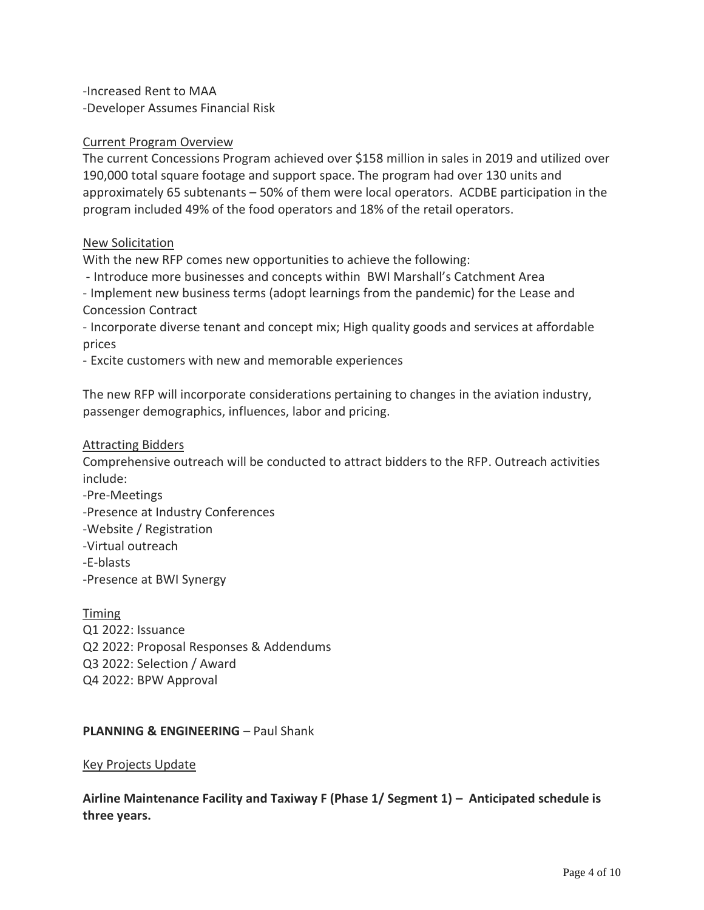-Increased Rent to MAA -Developer Assumes Financial Risk

#### Current Program Overview

The current Concessions Program achieved over \$158 million in sales in 2019 and utilized over 190,000 total square footage and support space. The program had over 130 units and approximately 65 subtenants – 50% of them were local operators. ACDBE participation in the program included 49% of the food operators and 18% of the retail operators.

#### New Solicitation

With the new RFP comes new opportunities to achieve the following:

- Introduce more businesses and concepts within BWI Marshall's Catchment Area
- Implement new business terms (adopt learnings from the pandemic) for the Lease and Concession Contract

- Incorporate diverse tenant and concept mix; High quality goods and services at affordable prices

- Excite customers with new and memorable experiences

The new RFP will incorporate considerations pertaining to changes in the aviation industry, passenger demographics, influences, labor and pricing.

#### Attracting Bidders

Comprehensive outreach will be conducted to attract bidders to the RFP. Outreach activities include:

-Pre-Meetings -Presence at Industry Conferences -Website / Registration -Virtual outreach -E-blasts -Presence at BWI Synergy

Timing Q1 2022: Issuance Q2 2022: Proposal Responses & Addendums Q3 2022: Selection / Award Q4 2022: BPW Approval

#### **PLANNING & ENGINEERING - Paul Shank**

#### Key Projects Update

**Airline Maintenance Facility and Taxiway F (Phase 1/ Segment 1) – Anticipated schedule is three years.**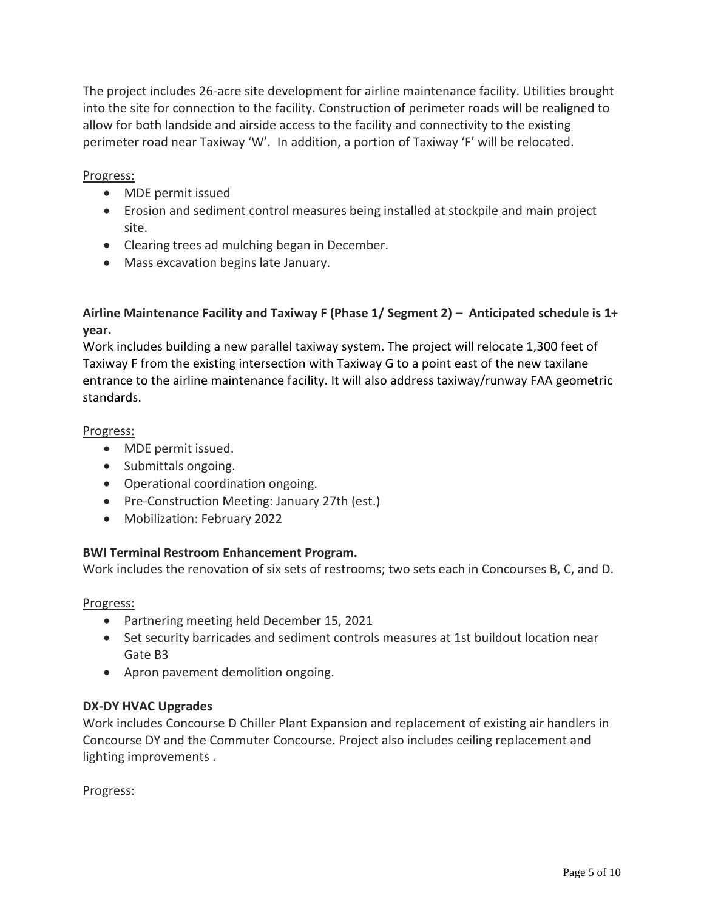The project includes 26-acre site development for airline maintenance facility. Utilities brought into the site for connection to the facility. Construction of perimeter roads will be realigned to allow for both landside and airside access to the facility and connectivity to the existing perimeter road near Taxiway 'W'. In addition, a portion of Taxiway 'F' will be relocated.

## Progress:

- MDE permit issued
- Erosion and sediment control measures being installed at stockpile and main project site.
- Clearing trees ad mulching began in December.
- Mass excavation begins late January.

# **Airline Maintenance Facility and Taxiway F (Phase 1/ Segment 2) – Anticipated schedule is 1+ year.**

Work includes building a new parallel taxiway system. The project will relocate 1,300 feet of Taxiway F from the existing intersection with Taxiway G to a point east of the new taxilane entrance to the airline maintenance facility. It will also address taxiway/runway FAA geometric standards.

# Progress:

- MDE permit issued.
- Submittals ongoing.
- Operational coordination ongoing.
- Pre-Construction Meeting: January 27th (est.)
- Mobilization: February 2022

# **BWI Terminal Restroom Enhancement Program.**

Work includes the renovation of six sets of restrooms; two sets each in Concourses B, C, and D.

## Progress:

- Partnering meeting held December 15, 2021
- Set security barricades and sediment controls measures at 1st buildout location near Gate B3
- Apron pavement demolition ongoing.

## **DX-DY HVAC Upgrades**

Work includes Concourse D Chiller Plant Expansion and replacement of existing air handlers in Concourse DY and the Commuter Concourse. Project also includes ceiling replacement and lighting improvements .

## Progress: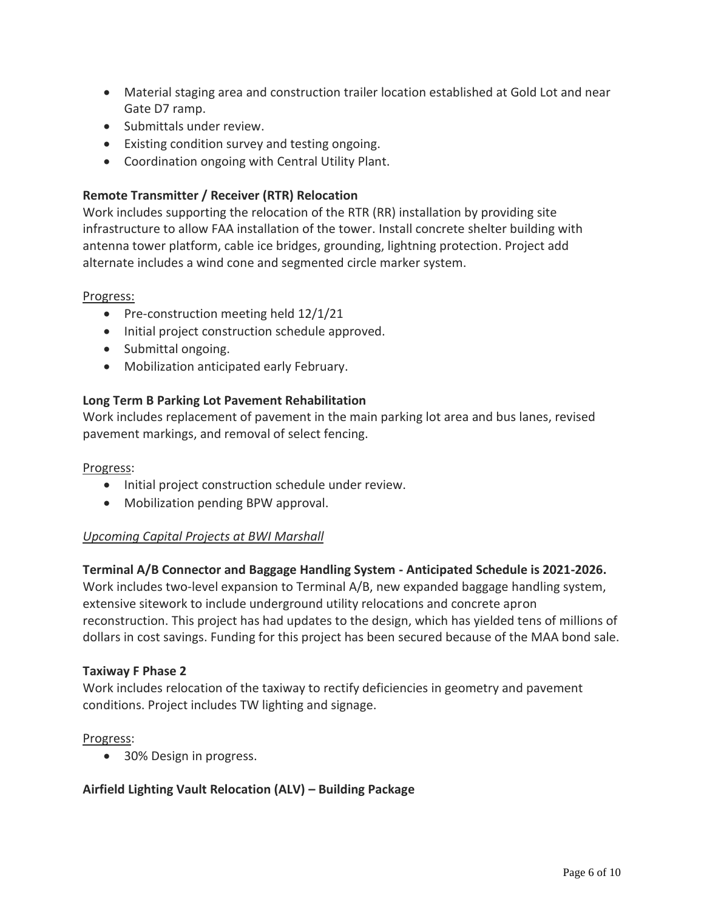- Material staging area and construction trailer location established at Gold Lot and near Gate D7 ramp.
- Submittals under review.
- Existing condition survey and testing ongoing.
- Coordination ongoing with Central Utility Plant.

# **Remote Transmitter / Receiver (RTR) Relocation**

Work includes supporting the relocation of the RTR (RR) installation by providing site infrastructure to allow FAA installation of the tower. Install concrete shelter building with antenna tower platform, cable ice bridges, grounding, lightning protection. Project add alternate includes a wind cone and segmented circle marker system.

## Progress:

- Pre-construction meeting held 12/1/21
- Initial project construction schedule approved.
- Submittal ongoing.
- Mobilization anticipated early February.

## **Long Term B Parking Lot Pavement Rehabilitation**

Work includes replacement of pavement in the main parking lot area and bus lanes, revised pavement markings, and removal of select fencing.

## Progress:

- Initial project construction schedule under review.
- Mobilization pending BPW approval.

## *Upcoming Capital Projects at BWI Marshall*

## **Terminal A/B Connector and Baggage Handling System - Anticipated Schedule is 2021-2026.**

Work includes two-level expansion to Terminal A/B, new expanded baggage handling system, extensive sitework to include underground utility relocations and concrete apron reconstruction. This project has had updates to the design, which has yielded tens of millions of dollars in cost savings. Funding for this project has been secured because of the MAA bond sale.

#### **Taxiway F Phase 2**

Work includes relocation of the taxiway to rectify deficiencies in geometry and pavement conditions. Project includes TW lighting and signage.

## Progress:

• 30% Design in progress.

## **Airfield Lighting Vault Relocation (ALV) – Building Package**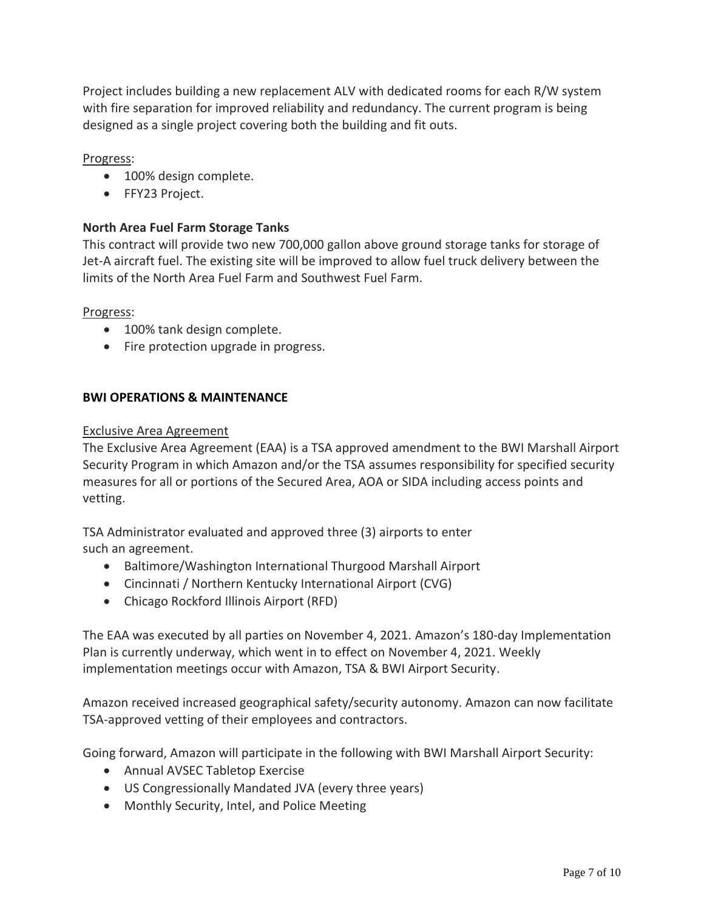Project includes building a new replacement ALV with dedicated rooms for each R/W system with fire separation for improved reliability and redundancy. The current program is being designed as a single project covering both the building and fit outs.

# Progress:

- 100% design complete.
- FFY23 Project.

# **North Area Fuel Farm Storage Tanks**

This contract will provide two new 700,000 gallon above ground storage tanks for storage of Jet-A aircraft fuel. The existing site will be improved to allow fuel truck delivery between the limits of the North Area Fuel Farm and Southwest Fuel Farm.

Progress:

- 100% tank design complete.
- Fire protection upgrade in progress.

# **BWI OPERATIONS & MAINTENANCE**

## Exclusive Area Agreement

The Exclusive Area Agreement (EAA) is a TSA approved amendment to the BWI Marshall Airport Security Program in which Amazon and/or the TSA assumes responsibility for specified security measures for all or portions of the Secured Area, AOA or SIDA including access points and vetting.

TSA Administrator evaluated and approved three (3) airports to enter such an agreement.

- Baltimore/Washington International Thurgood Marshall Airport
- Cincinnati / Northern Kentucky International Airport (CVG)
- Chicago Rockford Illinois Airport (RFD)

The EAA was executed by all parties on November 4, 2021. Amazon's 180-day Implementation Plan is currently underway, which went in to effect on November 4, 2021. Weekly implementation meetings occur with Amazon, TSA & BWI Airport Security.

Amazon received increased geographical safety/security autonomy. Amazon can now facilitate TSA-approved vetting of their employees and contractors.

Going forward, Amazon will participate in the following with BWI Marshall Airport Security:

- Annual AVSEC Tabletop Exercise
- US Congressionally Mandated JVA (every three years)
- Monthly Security, Intel, and Police Meeting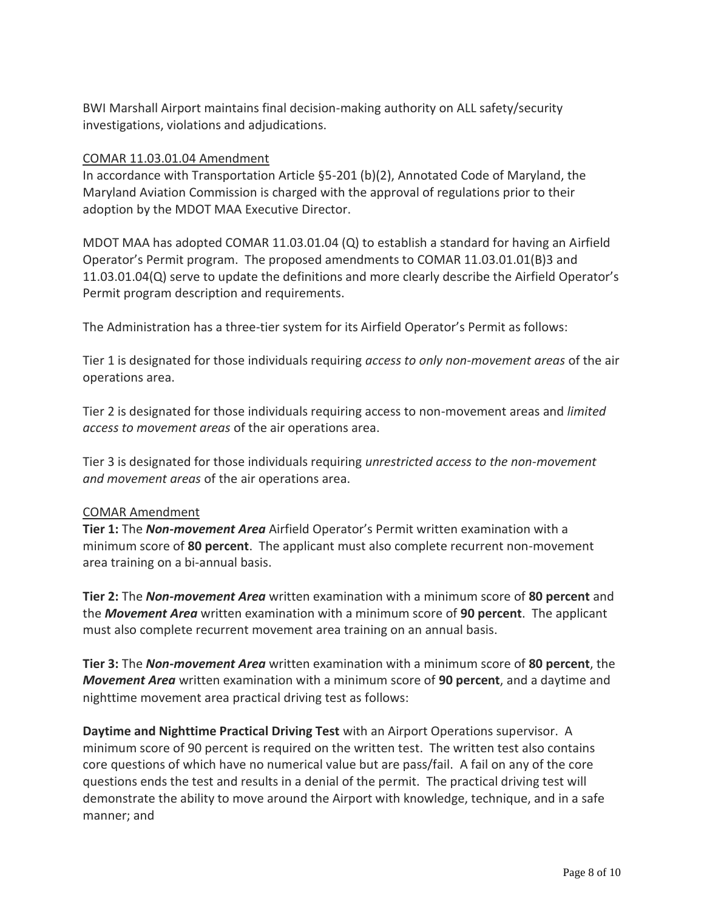BWI Marshall Airport maintains final decision-making authority on ALL safety/security investigations, violations and adjudications.

## COMAR 11.03.01.04 Amendment

In accordance with Transportation Article §5-201 (b)(2), Annotated Code of Maryland, the Maryland Aviation Commission is charged with the approval of regulations prior to their adoption by the MDOT MAA Executive Director.

MDOT MAA has adopted COMAR 11.03.01.04 (Q) to establish a standard for having an Airfield Operator's Permit program. The proposed amendments to COMAR 11.03.01.01(B)3 and 11.03.01.04(Q) serve to update the definitions and more clearly describe the Airfield Operator's Permit program description and requirements.

The Administration has a three-tier system for its Airfield Operator's Permit as follows:

Tier 1 is designated for those individuals requiring *access to only non-movement areas* of the air operations area.

Tier 2 is designated for those individuals requiring access to non-movement areas and *limited access to movement areas* of the air operations area.

Tier 3 is designated for those individuals requiring *unrestricted access to the non-movement and movement areas* of the air operations area.

## COMAR Amendment

**Tier 1:** The *Non-movement Area* Airfield Operator's Permit written examination with a minimum score of **80 percent**. The applicant must also complete recurrent non-movement area training on a bi-annual basis.

**Tier 2:** The *Non-movement Area* written examination with a minimum score of **80 percent** and the *Movement Area* written examination with a minimum score of **90 percent**. The applicant must also complete recurrent movement area training on an annual basis.

**Tier 3:** The *Non-movement Area* written examination with a minimum score of **80 percent**, the *Movement Area* written examination with a minimum score of **90 percent**, and a daytime and nighttime movement area practical driving test as follows:

**Daytime and Nighttime Practical Driving Test** with an Airport Operations supervisor. A minimum score of 90 percent is required on the written test. The written test also contains core questions of which have no numerical value but are pass/fail. A fail on any of the core questions ends the test and results in a denial of the permit. The practical driving test will demonstrate the ability to move around the Airport with knowledge, technique, and in a safe manner; and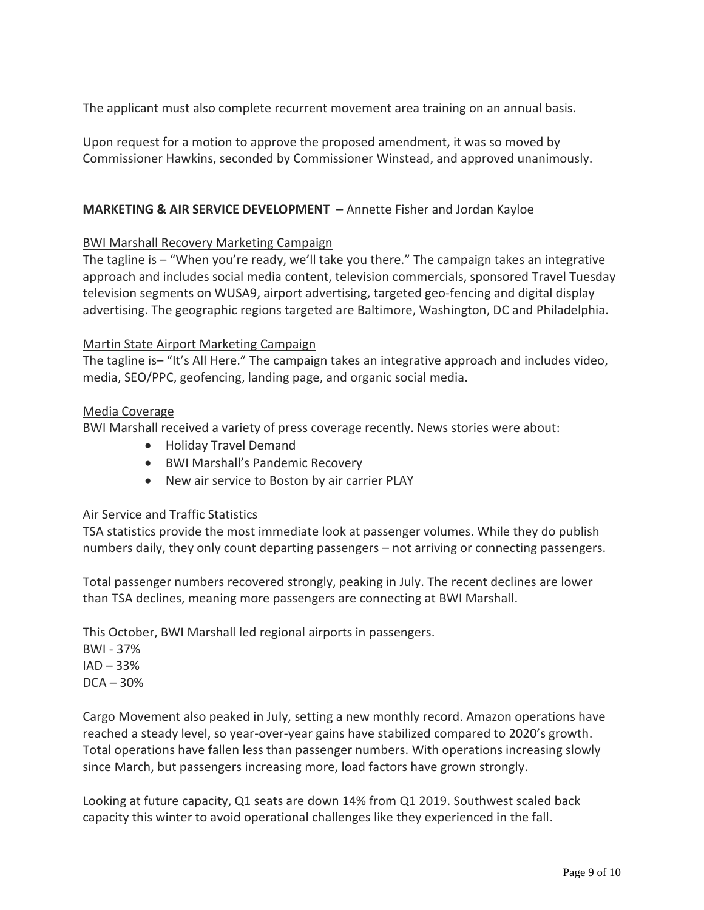The applicant must also complete recurrent movement area training on an annual basis.

Upon request for a motion to approve the proposed amendment, it was so moved by Commissioner Hawkins, seconded by Commissioner Winstead, and approved unanimously.

## **MARKETING & AIR SERVICE DEVELOPMENT** – Annette Fisher and Jordan Kayloe

## BWI Marshall Recovery Marketing Campaign

The tagline is – "When you're ready, we'll take you there." The campaign takes an integrative approach and includes social media content, television commercials, sponsored Travel Tuesday television segments on WUSA9, airport advertising, targeted geo-fencing and digital display advertising. The geographic regions targeted are Baltimore, Washington, DC and Philadelphia.

## Martin State Airport Marketing Campaign

The tagline is– "It's All Here." The campaign takes an integrative approach and includes video, media, SEO/PPC, geofencing, landing page, and organic social media.

## Media Coverage

BWI Marshall received a variety of press coverage recently. News stories were about:

- Holiday Travel Demand
- BWI Marshall's Pandemic Recovery
- New air service to Boston by air carrier PLAY

## Air Service and Traffic Statistics

TSA statistics provide the most immediate look at passenger volumes. While they do publish numbers daily, they only count departing passengers – not arriving or connecting passengers.

Total passenger numbers recovered strongly, peaking in July. The recent declines are lower than TSA declines, meaning more passengers are connecting at BWI Marshall.

This October, BWI Marshall led regional airports in passengers.

BWI - 37%  $IAD - 33%$  $DCA - 30%$ 

Cargo Movement also peaked in July, setting a new monthly record. Amazon operations have reached a steady level, so year-over-year gains have stabilized compared to 2020's growth. Total operations have fallen less than passenger numbers. With operations increasing slowly since March, but passengers increasing more, load factors have grown strongly.

Looking at future capacity, Q1 seats are down 14% from Q1 2019. Southwest scaled back capacity this winter to avoid operational challenges like they experienced in the fall.